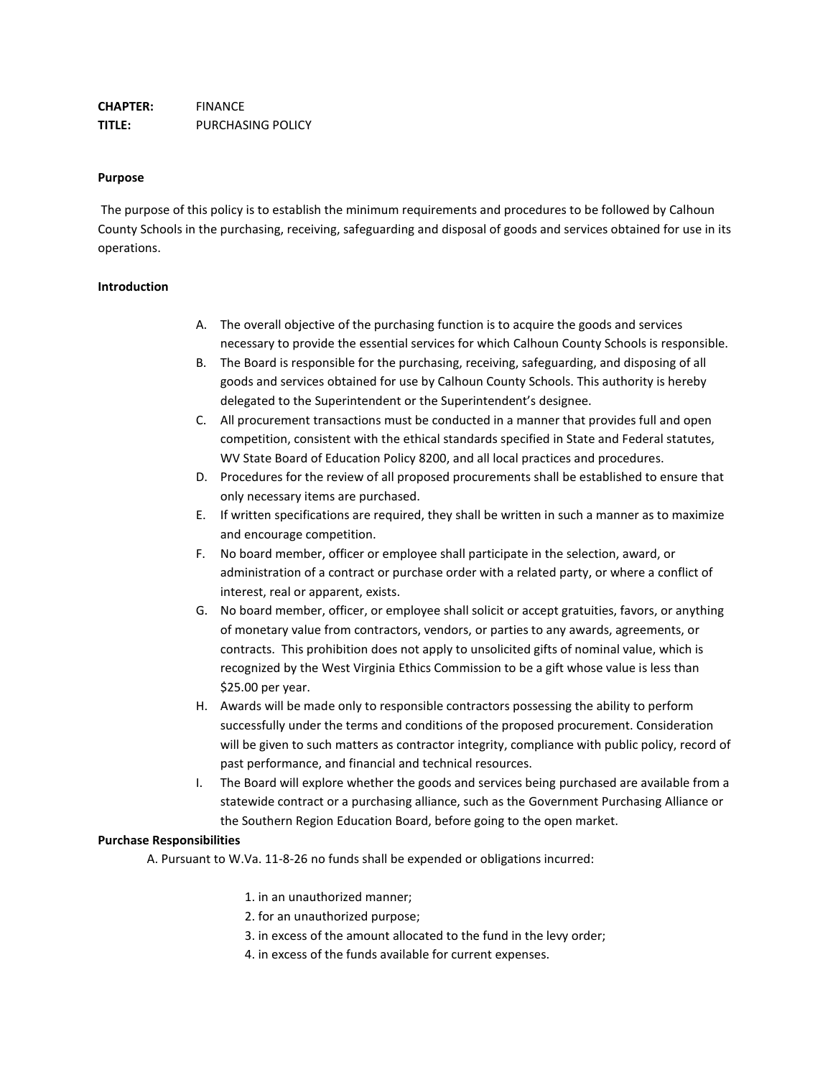### **Purpose**

The purpose of this policy is to establish the minimum requirements and procedures to be followed by Calhoun County Schools in the purchasing, receiving, safeguarding and disposal of goods and services obtained for use in its operations.

### **Introduction**

- A. The overall objective of the purchasing function is to acquire the goods and services necessary to provide the essential services for which Calhoun County Schools is responsible.
- B. The Board is responsible for the purchasing, receiving, safeguarding, and disposing of all goods and services obtained for use by Calhoun County Schools. This authority is hereby delegated to the Superintendent or the Superintendent's designee.
- C. All procurement transactions must be conducted in a manner that provides full and open competition, consistent with the ethical standards specified in State and Federal statutes, WV State Board of Education Policy 8200, and all local practices and procedures.
- D. Procedures for the review of all proposed procurements shall be established to ensure that only necessary items are purchased.
- E. If written specifications are required, they shall be written in such a manner as to maximize and encourage competition.
- F. No board member, officer or employee shall participate in the selection, award, or administration of a contract or purchase order with a related party, or where a conflict of interest, real or apparent, exists.
- G. No board member, officer, or employee shall solicit or accept gratuities, favors, or anything of monetary value from contractors, vendors, or parties to any awards, agreements, or contracts. This prohibition does not apply to unsolicited gifts of nominal value, which is recognized by the West Virginia Ethics Commission to be a gift whose value is less than \$25.00 per year.
- H. Awards will be made only to responsible contractors possessing the ability to perform successfully under the terms and conditions of the proposed procurement. Consideration will be given to such matters as contractor integrity, compliance with public policy, record of past performance, and financial and technical resources.
- I. The Board will explore whether the goods and services being purchased are available from a statewide contract or a purchasing alliance, such as the Government Purchasing Alliance or the Southern Region Education Board, before going to the open market.

### **Purchase Responsibilities**

A. Pursuant to W.Va. 11-8-26 no funds shall be expended or obligations incurred:

- 1. in an unauthorized manner;
- 2. for an unauthorized purpose;
- 3. in excess of the amount allocated to the fund in the levy order;
- 4. in excess of the funds available for current expenses.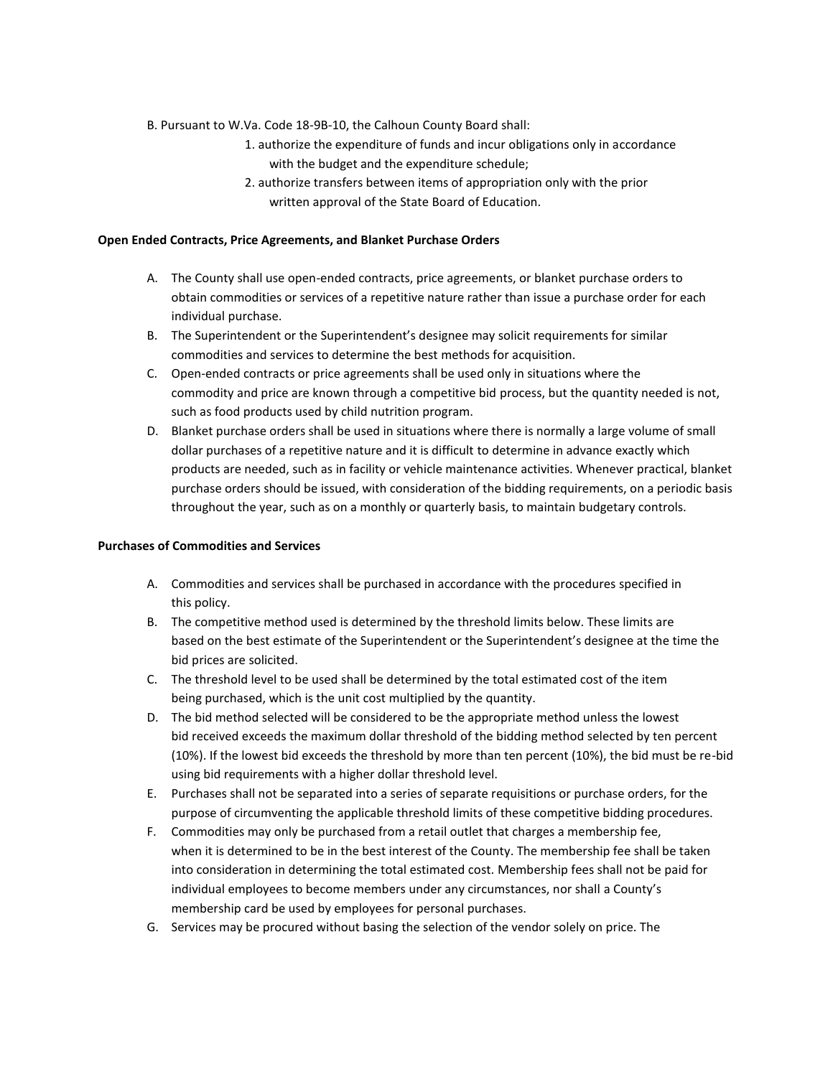B. Pursuant to W.Va. Code 18-9B-10, the Calhoun County Board shall:

- 1. authorize the expenditure of funds and incur obligations only in accordance with the budget and the expenditure schedule;
- 2. authorize transfers between items of appropriation only with the prior written approval of the State Board of Education.

### **Open Ended Contracts, Price Agreements, and Blanket Purchase Orders**

- A. The County shall use open-ended contracts, price agreements, or blanket purchase orders to obtain commodities or services of a repetitive nature rather than issue a purchase order for each individual purchase.
- B. The Superintendent or the Superintendent's designee may solicit requirements for similar commodities and services to determine the best methods for acquisition.
- C. Open-ended contracts or price agreements shall be used only in situations where the commodity and price are known through a competitive bid process, but the quantity needed is not, such as food products used by child nutrition program.
- D. Blanket purchase orders shall be used in situations where there is normally a large volume of small dollar purchases of a repetitive nature and it is difficult to determine in advance exactly which products are needed, such as in facility or vehicle maintenance activities. Whenever practical, blanket purchase orders should be issued, with consideration of the bidding requirements, on a periodic basis throughout the year, such as on a monthly or quarterly basis, to maintain budgetary controls.

### **Purchases of Commodities and Services**

- A. Commodities and services shall be purchased in accordance with the procedures specified in this policy.
- B. The competitive method used is determined by the threshold limits below. These limits are based on the best estimate of the Superintendent or the Superintendent's designee at the time the bid prices are solicited.
- C. The threshold level to be used shall be determined by the total estimated cost of the item being purchased, which is the unit cost multiplied by the quantity.
- D. The bid method selected will be considered to be the appropriate method unless the lowest bid received exceeds the maximum dollar threshold of the bidding method selected by ten percent (10%). If the lowest bid exceeds the threshold by more than ten percent (10%), the bid must be re-bid using bid requirements with a higher dollar threshold level.
- E. Purchases shall not be separated into a series of separate requisitions or purchase orders, for the purpose of circumventing the applicable threshold limits of these competitive bidding procedures.
- F. Commodities may only be purchased from a retail outlet that charges a membership fee, when it is determined to be in the best interest of the County. The membership fee shall be taken into consideration in determining the total estimated cost. Membership fees shall not be paid for individual employees to become members under any circumstances, nor shall a County's membership card be used by employees for personal purchases.
- G. Services may be procured without basing the selection of the vendor solely on price. The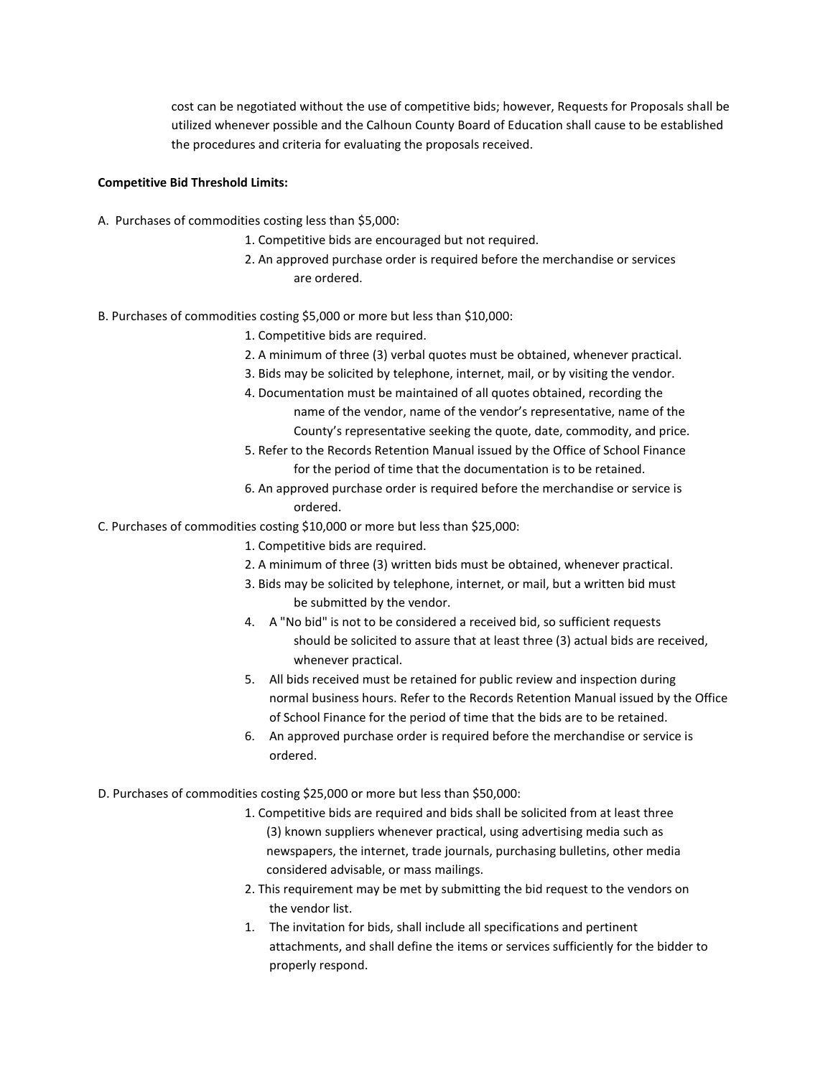cost can be negotiated without the use of competitive bids; however, Requests for Proposals shall be utilized whenever possible and the Calhoun County Board of Education shall cause to be established the procedures and criteria for evaluating the proposals received.

### **Competitive Bid Threshold Limits:**

- A. Purchases of commodities costing less than \$5,000:
	- 1. Competitive bids are encouraged but not required.
	- 2. An approved purchase order is required before the merchandise or services are ordered.
- B. Purchases of commodities costing \$5,000 or more but less than \$10,000:
	- 1. Competitive bids are required.
	- 2. A minimum of three (3) verbal quotes must be obtained, whenever practical.
	- 3. Bids may be solicited by telephone, internet, mail, or by visiting the vendor.
	- 4. Documentation must be maintained of all quotes obtained, recording the name of the vendor, name of the vendor's representative, name of the County's representative seeking the quote, date, commodity, and price.
	- 5. Refer to the Records Retention Manual issued by the Office of School Finance for the period of time that the documentation is to be retained.
	- 6. An approved purchase order is required before the merchandise or service is ordered.
- C. Purchases of commodities costing \$10,000 or more but less than \$25,000:
	- 1. Competitive bids are required.
	- 2. A minimum of three (3) written bids must be obtained, whenever practical.
	- 3. Bids may be solicited by telephone, internet, or mail, but a written bid must be submitted by the vendor.
	- 4. A "No bid" is not to be considered a received bid, so sufficient requests should be solicited to assure that at least three (3) actual bids are received, whenever practical.
	- 5. All bids received must be retained for public review and inspection during normal business hours. Refer to the Records Retention Manual issued by the Office of School Finance for the period of time that the bids are to be retained.
	- 6. An approved purchase order is required before the merchandise or service is ordered.
- D. Purchases of commodities costing \$25,000 or more but less than \$50,000:
	- 1. Competitive bids are required and bids shall be solicited from at least three (3) known suppliers whenever practical, using advertising media such as newspapers, the internet, trade journals, purchasing bulletins, other media considered advisable, or mass mailings.
	- 2. This requirement may be met by submitting the bid request to the vendors on the vendor list.
	- 1. The invitation for bids, shall include all specifications and pertinent attachments, and shall define the items or services sufficiently for the bidder to properly respond.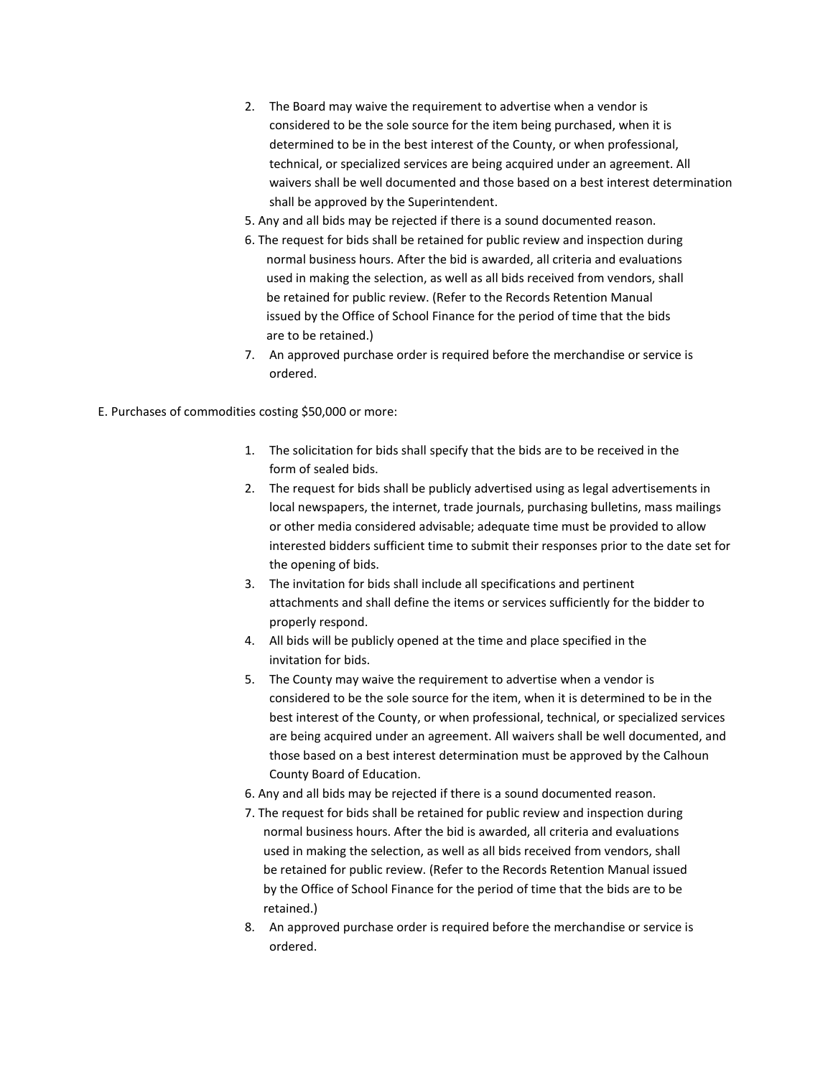- 2. The Board may waive the requirement to advertise when a vendor is considered to be the sole source for the item being purchased, when it is determined to be in the best interest of the County, or when professional, technical, or specialized services are being acquired under an agreement. All waivers shall be well documented and those based on a best interest determination shall be approved by the Superintendent.
- 5. Any and all bids may be rejected if there is a sound documented reason.
- 6. The request for bids shall be retained for public review and inspection during normal business hours. After the bid is awarded, all criteria and evaluations used in making the selection, as well as all bids received from vendors, shall be retained for public review. (Refer to the Records Retention Manual issued by the Office of School Finance for the period of time that the bids are to be retained.)
- 7. An approved purchase order is required before the merchandise or service is ordered.

E. Purchases of commodities costing \$50,000 or more:

- 1. The solicitation for bids shall specify that the bids are to be received in the form of sealed bids.
- 2. The request for bids shall be publicly advertised using as legal advertisements in local newspapers, the internet, trade journals, purchasing bulletins, mass mailings or other media considered advisable; adequate time must be provided to allow interested bidders sufficient time to submit their responses prior to the date set for the opening of bids.
- 3. The invitation for bids shall include all specifications and pertinent attachments and shall define the items or services sufficiently for the bidder to properly respond.
- 4. All bids will be publicly opened at the time and place specified in the invitation for bids.
- 5. The County may waive the requirement to advertise when a vendor is considered to be the sole source for the item, when it is determined to be in the best interest of the County, or when professional, technical, or specialized services are being acquired under an agreement. All waivers shall be well documented, and those based on a best interest determination must be approved by the Calhoun County Board of Education.
- 6. Any and all bids may be rejected if there is a sound documented reason.
- 7. The request for bids shall be retained for public review and inspection during normal business hours. After the bid is awarded, all criteria and evaluations used in making the selection, as well as all bids received from vendors, shall be retained for public review. (Refer to the Records Retention Manual issued by the Office of School Finance for the period of time that the bids are to be retained.)
- 8. An approved purchase order is required before the merchandise or service is ordered.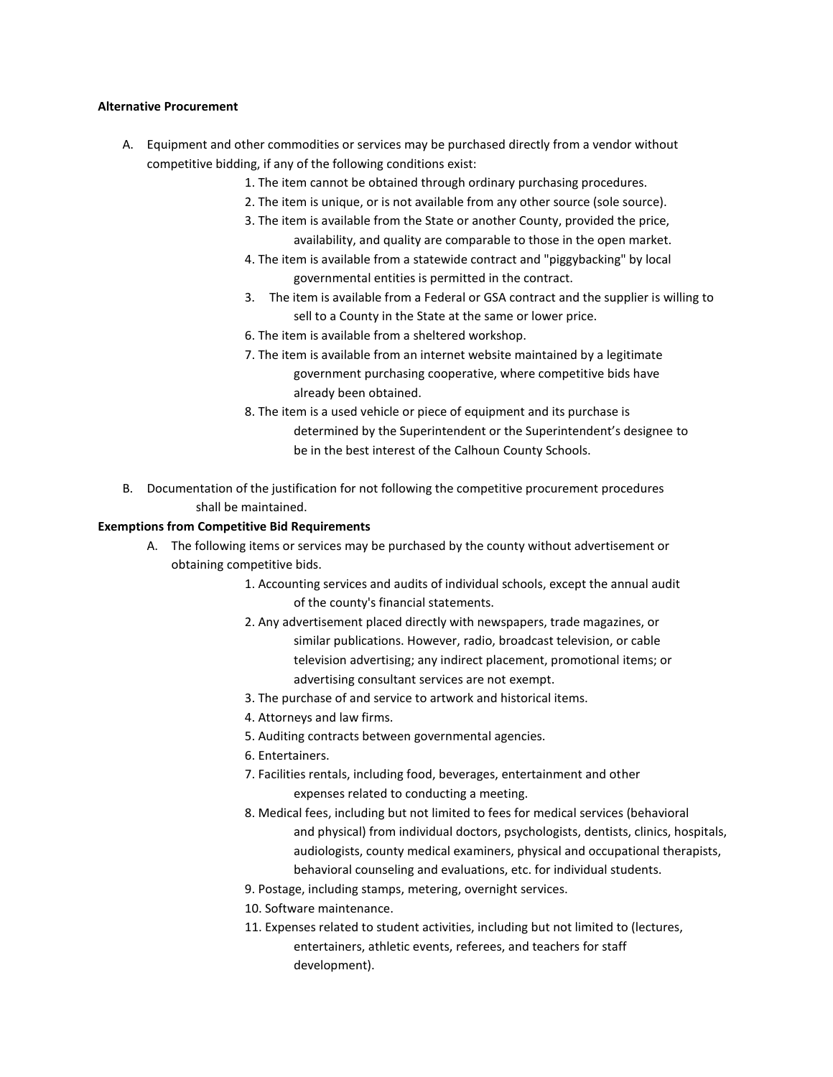#### **Alternative Procurement**

- A. Equipment and other commodities or services may be purchased directly from a vendor without competitive bidding, if any of the following conditions exist:
	- 1. The item cannot be obtained through ordinary purchasing procedures.
	- 2. The item is unique, or is not available from any other source (sole source).
	- 3. The item is available from the State or another County, provided the price, availability, and quality are comparable to those in the open market.
	- 4. The item is available from a statewide contract and "piggybacking" by local governmental entities is permitted in the contract.
	- 3. The item is available from a Federal or GSA contract and the supplier is willing to sell to a County in the State at the same or lower price.
	- 6. The item is available from a sheltered workshop.
	- 7. The item is available from an internet website maintained by a legitimate government purchasing cooperative, where competitive bids have already been obtained.
	- 8. The item is a used vehicle or piece of equipment and its purchase is determined by the Superintendent or the Superintendent's designee to be in the best interest of the Calhoun County Schools.
- B. Documentation of the justification for not following the competitive procurement procedures shall be maintained.

## **Exemptions from Competitive Bid Requirements**

- A. The following items or services may be purchased by the county without advertisement or obtaining competitive bids.
	- 1. Accounting services and audits of individual schools, except the annual audit of the county's financial statements.
	- 2. Any advertisement placed directly with newspapers, trade magazines, or similar publications. However, radio, broadcast television, or cable television advertising; any indirect placement, promotional items; or advertising consultant services are not exempt.
	- 3. The purchase of and service to artwork and historical items.
	- 4. Attorneys and law firms.
	- 5. Auditing contracts between governmental agencies.
	- 6. Entertainers.
	- 7. Facilities rentals, including food, beverages, entertainment and other expenses related to conducting a meeting.
	- 8. Medical fees, including but not limited to fees for medical services (behavioral and physical) from individual doctors, psychologists, dentists, clinics, hospitals, audiologists, county medical examiners, physical and occupational therapists, behavioral counseling and evaluations, etc. for individual students.
	- 9. Postage, including stamps, metering, overnight services.
	- 10. Software maintenance.
	- 11. Expenses related to student activities, including but not limited to (lectures, entertainers, athletic events, referees, and teachers for staff development).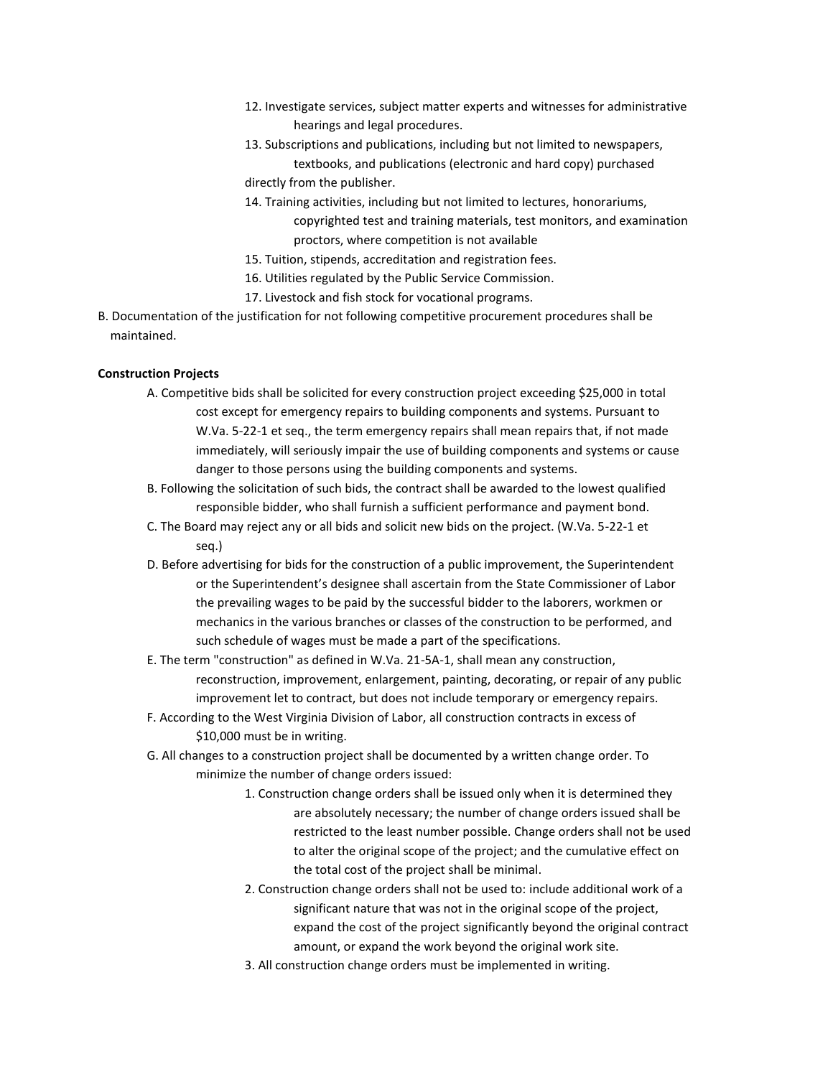- 12. Investigate services, subject matter experts and witnesses for administrative hearings and legal procedures.
- 13. Subscriptions and publications, including but not limited to newspapers,

textbooks, and publications (electronic and hard copy) purchased directly from the publisher.

14. Training activities, including but not limited to lectures, honorariums,

copyrighted test and training materials, test monitors, and examination proctors, where competition is not available

- 15. Tuition, stipends, accreditation and registration fees.
- 16. Utilities regulated by the Public Service Commission.
- 17. Livestock and fish stock for vocational programs.
- B. Documentation of the justification for not following competitive procurement procedures shall be maintained.

## **Construction Projects**

- A. Competitive bids shall be solicited for every construction project exceeding \$25,000 in total cost except for emergency repairs to building components and systems. Pursuant to W.Va. 5-22-1 et seq., the term emergency repairs shall mean repairs that, if not made immediately, will seriously impair the use of building components and systems or cause danger to those persons using the building components and systems.
- B. Following the solicitation of such bids, the contract shall be awarded to the lowest qualified responsible bidder, who shall furnish a sufficient performance and payment bond.
- C. The Board may reject any or all bids and solicit new bids on the project. (W.Va. 5-22-1 et seq.)
- D. Before advertising for bids for the construction of a public improvement, the Superintendent or the Superintendent's designee shall ascertain from the State Commissioner of Labor the prevailing wages to be paid by the successful bidder to the laborers, workmen or mechanics in the various branches or classes of the construction to be performed, and such schedule of wages must be made a part of the specifications.
- E. The term "construction" as defined in W.Va. 21-5A-1, shall mean any construction, reconstruction, improvement, enlargement, painting, decorating, or repair of any public improvement let to contract, but does not include temporary or emergency repairs.
- F. According to the West Virginia Division of Labor, all construction contracts in excess of \$10,000 must be in writing.
- G. All changes to a construction project shall be documented by a written change order. To minimize the number of change orders issued:
	- 1. Construction change orders shall be issued only when it is determined they are absolutely necessary; the number of change orders issued shall be restricted to the least number possible. Change orders shall not be used to alter the original scope of the project; and the cumulative effect on the total cost of the project shall be minimal.
	- 2. Construction change orders shall not be used to: include additional work of a significant nature that was not in the original scope of the project, expand the cost of the project significantly beyond the original contract amount, or expand the work beyond the original work site.
	- 3. All construction change orders must be implemented in writing.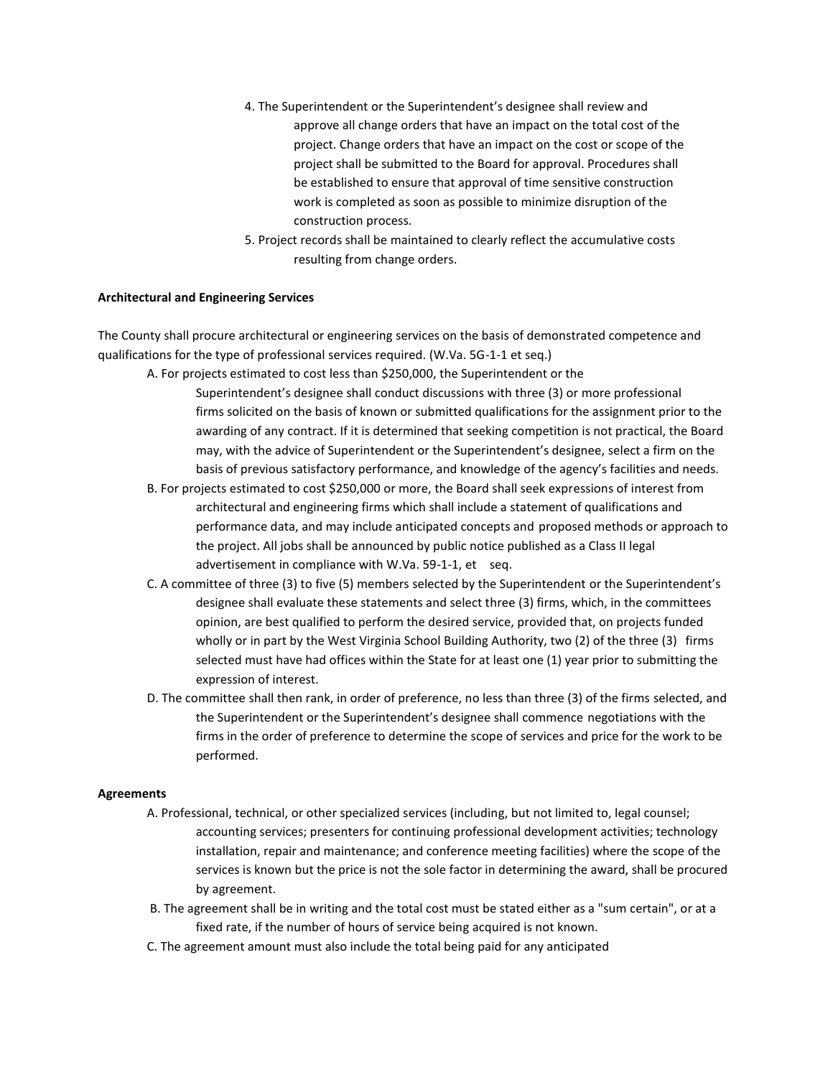- 4. The Superintendent or the Superintendent's designee shall review and approve all change orders that have an impact on the total cost of the project. Change orders that have an impact on the cost or scope of the project shall be submitted to the Board for approval. Procedures shall be established to ensure that approval of time sensitive construction work is completed as soon as possible to minimize disruption of the construction process.
- 5. Project records shall be maintained to clearly reflect the accumulative costs resulting from change orders.

### **Architectural and Engineering Services**

The County shall procure architectural or engineering services on the basis of demonstrated competence and qualifications for the type of professional services required. (W.Va. 5G-1-1 et seq.)

A. For projects estimated to cost less than \$250,000, the Superintendent or the

- Superintendent's designee shall conduct discussions with three (3) or more professional firms solicited on the basis of known or submitted qualifications for the assignment prior to the awarding of any contract. If it is determined that seeking competition is not practical, the Board may, with the advice of Superintendent or the Superintendent's designee, select a firm on the basis of previous satisfactory performance, and knowledge of the agency's facilities and needs.
- B. For projects estimated to cost \$250,000 or more, the Board shall seek expressions of interest from architectural and engineering firms which shall include a statement of qualifications and performance data, and may include anticipated concepts and proposed methods or approach to the project. All jobs shall be announced by public notice published as a Class II legal advertisement in compliance with W.Va. 59-1-1, et seq.
- C. A committee of three (3) to five (5) members selected by the Superintendent or the Superintendent's designee shall evaluate these statements and select three (3) firms, which, in the committees opinion, are best qualified to perform the desired service, provided that, on projects funded wholly or in part by the West Virginia School Building Authority, two (2) of the three (3) firms selected must have had offices within the State for at least one (1) year prior to submitting the expression of interest.
- D. The committee shall then rank, in order of preference, no less than three (3) of the firms selected, and the Superintendent or the Superintendent's designee shall commence negotiations with the firms in the order of preference to determine the scope of services and price for the work to be performed.

### **Agreements**

- A. Professional, technical, or other specialized services (including, but not limited to, legal counsel; accounting services; presenters for continuing professional development activities; technology installation, repair and maintenance; and conference meeting facilities) where the scope of the services is known but the price is not the sole factor in determining the award, shall be procured by agreement.
- B. The agreement shall be in writing and the total cost must be stated either as a "sum certain", or at a fixed rate, if the number of hours of service being acquired is not known.
- C. The agreement amount must also include the total being paid for any anticipated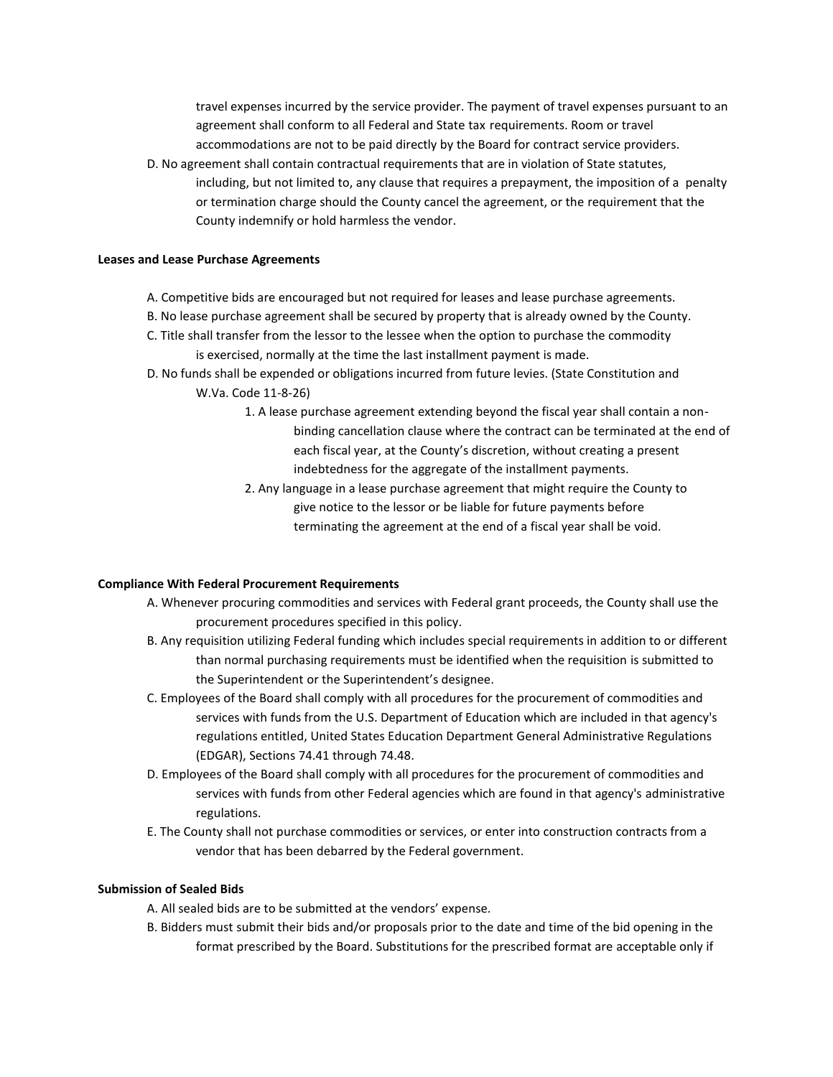travel expenses incurred by the service provider. The payment of travel expenses pursuant to an agreement shall conform to all Federal and State tax requirements. Room or travel accommodations are not to be paid directly by the Board for contract service providers.

D. No agreement shall contain contractual requirements that are in violation of State statutes, including, but not limited to, any clause that requires a prepayment, the imposition of a penalty or termination charge should the County cancel the agreement, or the requirement that the County indemnify or hold harmless the vendor.

### **Leases and Lease Purchase Agreements**

- A. Competitive bids are encouraged but not required for leases and lease purchase agreements.
- B. No lease purchase agreement shall be secured by property that is already owned by the County.
- C. Title shall transfer from the lessor to the lessee when the option to purchase the commodity is exercised, normally at the time the last installment payment is made.
- D. No funds shall be expended or obligations incurred from future levies. (State Constitution and W.Va. Code 11-8-26)
	- 1. A lease purchase agreement extending beyond the fiscal year shall contain a nonbinding cancellation clause where the contract can be terminated at the end of each fiscal year, at the County's discretion, without creating a present indebtedness for the aggregate of the installment payments.
	- 2. Any language in a lease purchase agreement that might require the County to give notice to the lessor or be liable for future payments before terminating the agreement at the end of a fiscal year shall be void.

## **Compliance With Federal Procurement Requirements**

- A. Whenever procuring commodities and services with Federal grant proceeds, the County shall use the procurement procedures specified in this policy.
- B. Any requisition utilizing Federal funding which includes special requirements in addition to or different than normal purchasing requirements must be identified when the requisition is submitted to the Superintendent or the Superintendent's designee.
- C. Employees of the Board shall comply with all procedures for the procurement of commodities and services with funds from the U.S. Department of Education which are included in that agency's regulations entitled, United States Education Department General Administrative Regulations (EDGAR), Sections 74.41 through 74.48.
- D. Employees of the Board shall comply with all procedures for the procurement of commodities and services with funds from other Federal agencies which are found in that agency's administrative regulations.
- E. The County shall not purchase commodities or services, or enter into construction contracts from a vendor that has been debarred by the Federal government.

## **Submission of Sealed Bids**

- A. All sealed bids are to be submitted at the vendors' expense.
- B. Bidders must submit their bids and/or proposals prior to the date and time of the bid opening in the format prescribed by the Board. Substitutions for the prescribed format are acceptable only if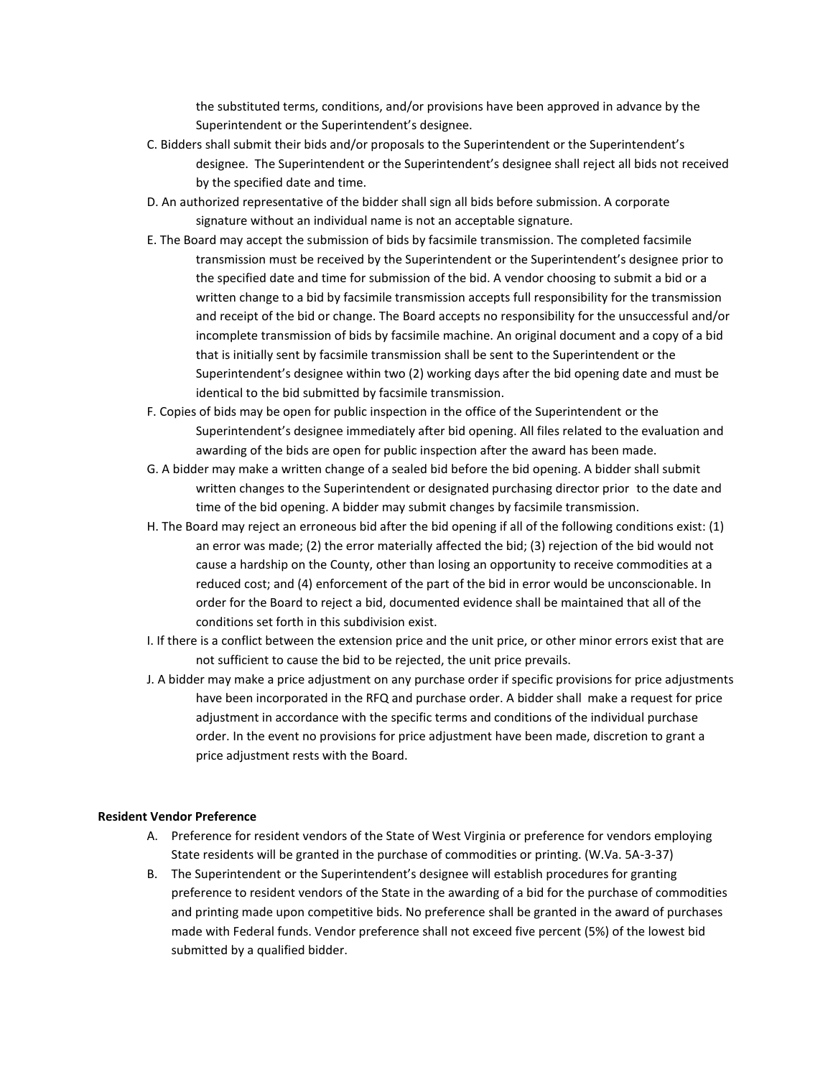the substituted terms, conditions, and/or provisions have been approved in advance by the Superintendent or the Superintendent's designee.

- C. Bidders shall submit their bids and/or proposals to the Superintendent or the Superintendent's designee. The Superintendent or the Superintendent's designee shall reject all bids not received by the specified date and time.
- D. An authorized representative of the bidder shall sign all bids before submission. A corporate signature without an individual name is not an acceptable signature.
- E. The Board may accept the submission of bids by facsimile transmission. The completed facsimile transmission must be received by the Superintendent or the Superintendent's designee prior to the specified date and time for submission of the bid. A vendor choosing to submit a bid or a written change to a bid by facsimile transmission accepts full responsibility for the transmission and receipt of the bid or change. The Board accepts no responsibility for the unsuccessful and/or incomplete transmission of bids by facsimile machine. An original document and a copy of a bid that is initially sent by facsimile transmission shall be sent to the Superintendent or the Superintendent's designee within two (2) working days after the bid opening date and must be identical to the bid submitted by facsimile transmission.
- F. Copies of bids may be open for public inspection in the office of the Superintendent or the Superintendent's designee immediately after bid opening. All files related to the evaluation and awarding of the bids are open for public inspection after the award has been made.
- G. A bidder may make a written change of a sealed bid before the bid opening. A bidder shall submit written changes to the Superintendent or designated purchasing director prior to the date and time of the bid opening. A bidder may submit changes by facsimile transmission.
- H. The Board may reject an erroneous bid after the bid opening if all of the following conditions exist: (1) an error was made; (2) the error materially affected the bid; (3) rejection of the bid would not cause a hardship on the County, other than losing an opportunity to receive commodities at a reduced cost; and (4) enforcement of the part of the bid in error would be unconscionable. In order for the Board to reject a bid, documented evidence shall be maintained that all of the conditions set forth in this subdivision exist.
- I. If there is a conflict between the extension price and the unit price, or other minor errors exist that are not sufficient to cause the bid to be rejected, the unit price prevails.
- J. A bidder may make a price adjustment on any purchase order if specific provisions for price adjustments have been incorporated in the RFQ and purchase order. A bidder shall make a request for price adjustment in accordance with the specific terms and conditions of the individual purchase order. In the event no provisions for price adjustment have been made, discretion to grant a price adjustment rests with the Board.

### **Resident Vendor Preference**

- A. Preference for resident vendors of the State of West Virginia or preference for vendors employing State residents will be granted in the purchase of commodities or printing. (W.Va. 5A-3-37)
- B. The Superintendent or the Superintendent's designee will establish procedures for granting preference to resident vendors of the State in the awarding of a bid for the purchase of commodities and printing made upon competitive bids. No preference shall be granted in the award of purchases made with Federal funds. Vendor preference shall not exceed five percent (5%) of the lowest bid submitted by a qualified bidder.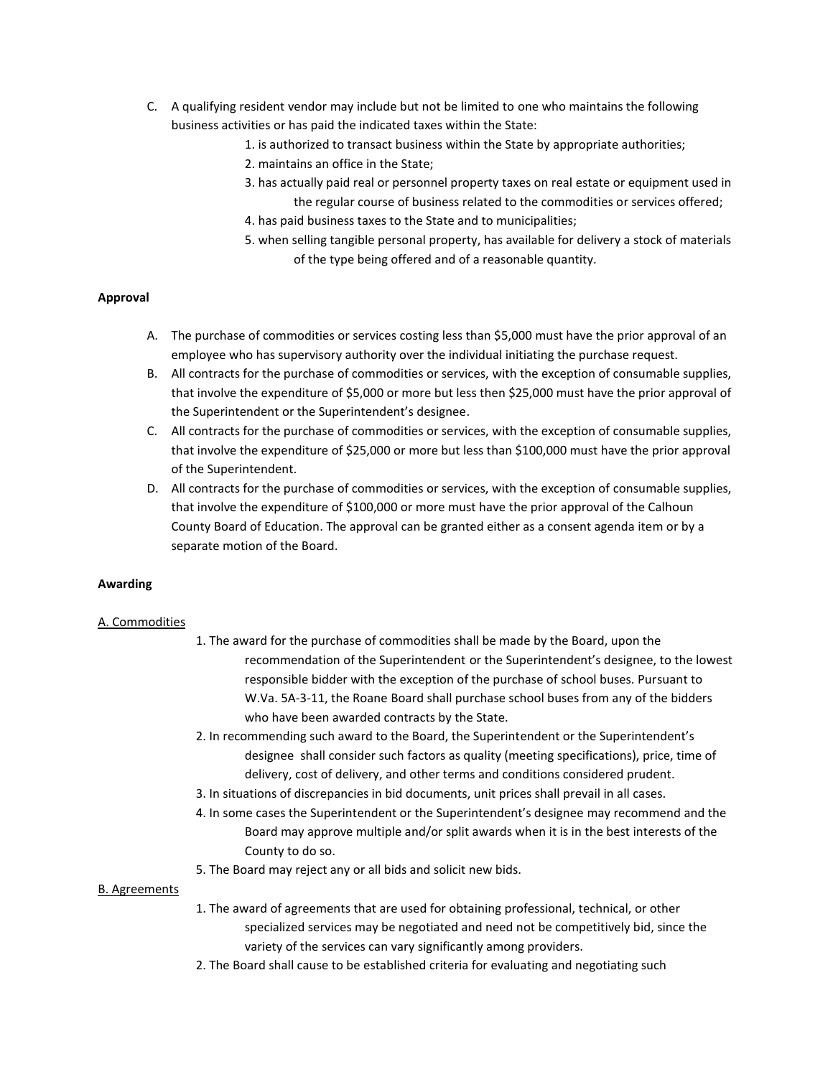- C. A qualifying resident vendor may include but not be limited to one who maintains the following business activities or has paid the indicated taxes within the State:
	- 1. is authorized to transact business within the State by appropriate authorities;
	- 2. maintains an office in the State;
	- 3. has actually paid real or personnel property taxes on real estate or equipment used in the regular course of business related to the commodities or services offered;
	- 4. has paid business taxes to the State and to municipalities;
	- 5. when selling tangible personal property, has available for delivery a stock of materials of the type being offered and of a reasonable quantity.

### **Approval**

- A. The purchase of commodities or services costing less than \$5,000 must have the prior approval of an employee who has supervisory authority over the individual initiating the purchase request.
- B. All contracts for the purchase of commodities or services, with the exception of consumable supplies, that involve the expenditure of \$5,000 or more but less then \$25,000 must have the prior approval of the Superintendent or the Superintendent's designee.
- C. All contracts for the purchase of commodities or services, with the exception of consumable supplies, that involve the expenditure of \$25,000 or more but less than \$100,000 must have the prior approval of the Superintendent.
- D. All contracts for the purchase of commodities or services, with the exception of consumable supplies, that involve the expenditure of \$100,000 or more must have the prior approval of the Calhoun County Board of Education. The approval can be granted either as a consent agenda item or by a separate motion of the Board.

### **Awarding**

### A. Commodities

- 1. The award for the purchase of commodities shall be made by the Board, upon the recommendation of the Superintendent or the Superintendent's designee, to the lowest responsible bidder with the exception of the purchase of school buses. Pursuant to W.Va. 5A-3-11, the Roane Board shall purchase school buses from any of the bidders who have been awarded contracts by the State.
- 2. In recommending such award to the Board, the Superintendent or the Superintendent's designee shall consider such factors as quality (meeting specifications), price, time of delivery, cost of delivery, and other terms and conditions considered prudent.
- 3. In situations of discrepancies in bid documents, unit prices shall prevail in all cases.
- 4. In some cases the Superintendent or the Superintendent's designee may recommend and the Board may approve multiple and/or split awards when it is in the best interests of the County to do so.
- 5. The Board may reject any or all bids and solicit new bids.

### B. Agreements

- 1. The award of agreements that are used for obtaining professional, technical, or other specialized services may be negotiated and need not be competitively bid, since the variety of the services can vary significantly among providers.
- 2. The Board shall cause to be established criteria for evaluating and negotiating such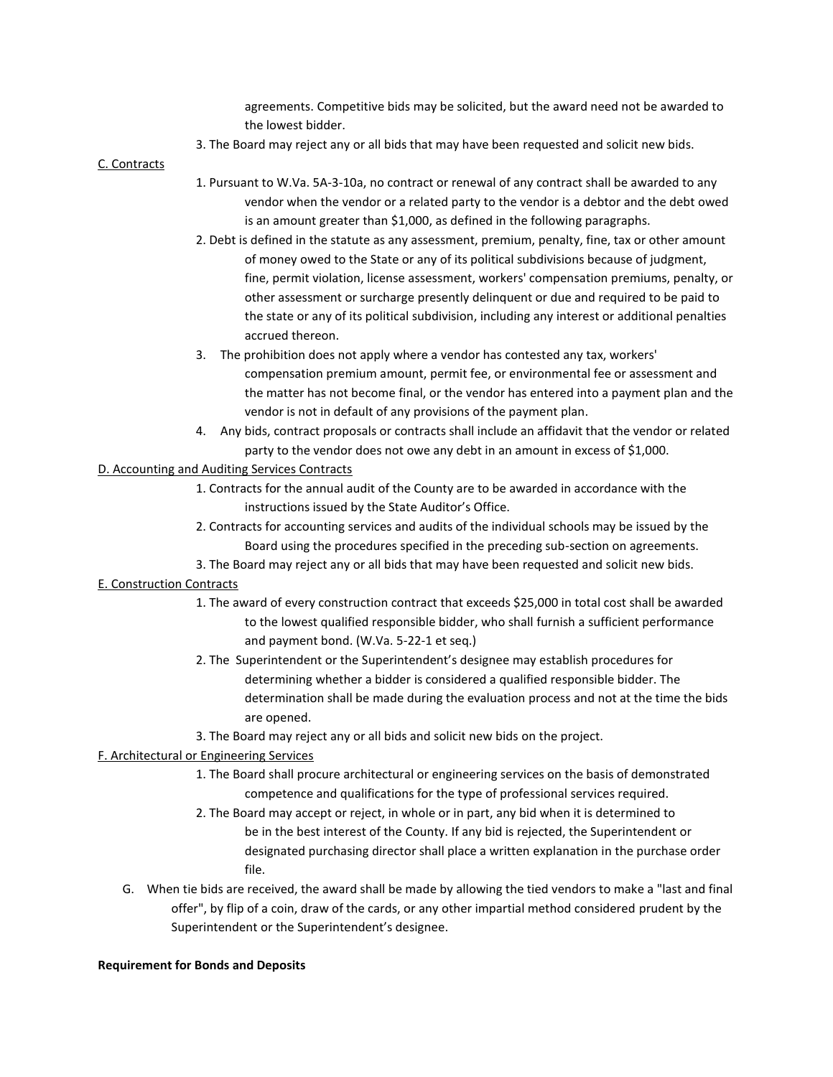agreements. Competitive bids may be solicited, but the award need not be awarded to the lowest bidder.

3. The Board may reject any or all bids that may have been requested and solicit new bids.

### C. Contracts

- 1. Pursuant to W.Va. 5A-3-10a, no contract or renewal of any contract shall be awarded to any vendor when the vendor or a related party to the vendor is a debtor and the debt owed is an amount greater than \$1,000, as defined in the following paragraphs.
- 2. Debt is defined in the statute as any assessment, premium, penalty, fine, tax or other amount of money owed to the State or any of its political subdivisions because of judgment, fine, permit violation, license assessment, workers' compensation premiums, penalty, or other assessment or surcharge presently delinquent or due and required to be paid to the state or any of its political subdivision, including any interest or additional penalties accrued thereon.
- 3. The prohibition does not apply where a vendor has contested any tax, workers' compensation premium amount, permit fee, or environmental fee or assessment and the matter has not become final, or the vendor has entered into a payment plan and the vendor is not in default of any provisions of the payment plan.
- 4. Any bids, contract proposals or contracts shall include an affidavit that the vendor or related party to the vendor does not owe any debt in an amount in excess of \$1,000.

# D. Accounting and Auditing Services Contracts

- 1. Contracts for the annual audit of the County are to be awarded in accordance with the instructions issued by the State Auditor's Office.
- 2. Contracts for accounting services and audits of the individual schools may be issued by the Board using the procedures specified in the preceding sub-section on agreements.
- 3. The Board may reject any or all bids that may have been requested and solicit new bids.

## E. Construction Contracts

- 1. The award of every construction contract that exceeds \$25,000 in total cost shall be awarded to the lowest qualified responsible bidder, who shall furnish a sufficient performance and payment bond. (W.Va. 5-22-1 et seq.)
- 2. The Superintendent or the Superintendent's designee may establish procedures for determining whether a bidder is considered a qualified responsible bidder. The determination shall be made during the evaluation process and not at the time the bids are opened.
- 3. The Board may reject any or all bids and solicit new bids on the project.

## F. Architectural or Engineering Services

- 1. The Board shall procure architectural or engineering services on the basis of demonstrated competence and qualifications for the type of professional services required.
- 2. The Board may accept or reject, in whole or in part, any bid when it is determined to be in the best interest of the County. If any bid is rejected, the Superintendent or designated purchasing director shall place a written explanation in the purchase order file.
- G. When tie bids are received, the award shall be made by allowing the tied vendors to make a "last and final offer", by flip of a coin, draw of the cards, or any other impartial method considered prudent by the Superintendent or the Superintendent's designee.

### **Requirement for Bonds and Deposits**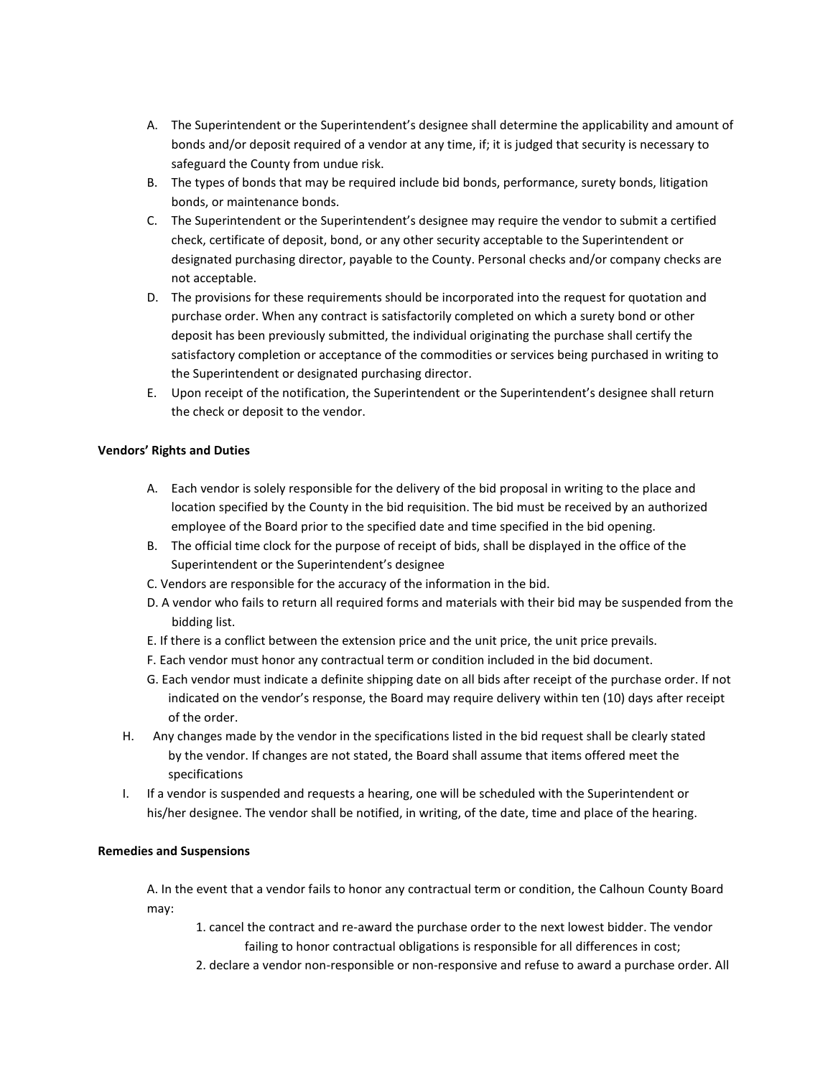- A. The Superintendent or the Superintendent's designee shall determine the applicability and amount of bonds and/or deposit required of a vendor at any time, if; it is judged that security is necessary to safeguard the County from undue risk.
- B. The types of bonds that may be required include bid bonds, performance, surety bonds, litigation bonds, or maintenance bonds.
- C. The Superintendent or the Superintendent's designee may require the vendor to submit a certified check, certificate of deposit, bond, or any other security acceptable to the Superintendent or designated purchasing director, payable to the County. Personal checks and/or company checks are not acceptable.
- D. The provisions for these requirements should be incorporated into the request for quotation and purchase order. When any contract is satisfactorily completed on which a surety bond or other deposit has been previously submitted, the individual originating the purchase shall certify the satisfactory completion or acceptance of the commodities or services being purchased in writing to the Superintendent or designated purchasing director.
- E. Upon receipt of the notification, the Superintendent or the Superintendent's designee shall return the check or deposit to the vendor.

## **Vendors' Rights and Duties**

- A. Each vendor is solely responsible for the delivery of the bid proposal in writing to the place and location specified by the County in the bid requisition. The bid must be received by an authorized employee of the Board prior to the specified date and time specified in the bid opening.
- B. The official time clock for the purpose of receipt of bids, shall be displayed in the office of the Superintendent or the Superintendent's designee
- C. Vendors are responsible for the accuracy of the information in the bid.
- D. A vendor who fails to return all required forms and materials with their bid may be suspended from the bidding list.
- E. If there is a conflict between the extension price and the unit price, the unit price prevails.
- F. Each vendor must honor any contractual term or condition included in the bid document.
- G. Each vendor must indicate a definite shipping date on all bids after receipt of the purchase order. If not indicated on the vendor's response, the Board may require delivery within ten (10) days after receipt of the order.
- H. Any changes made by the vendor in the specifications listed in the bid request shall be clearly stated by the vendor. If changes are not stated, the Board shall assume that items offered meet the specifications
- I. If a vendor is suspended and requests a hearing, one will be scheduled with the Superintendent or his/her designee. The vendor shall be notified, in writing, of the date, time and place of the hearing.

## **Remedies and Suspensions**

A. In the event that a vendor fails to honor any contractual term or condition, the Calhoun County Board may:

- 1. cancel the contract and re-award the purchase order to the next lowest bidder. The vendor failing to honor contractual obligations is responsible for all differences in cost;
- 2. declare a vendor non-responsible or non-responsive and refuse to award a purchase order. All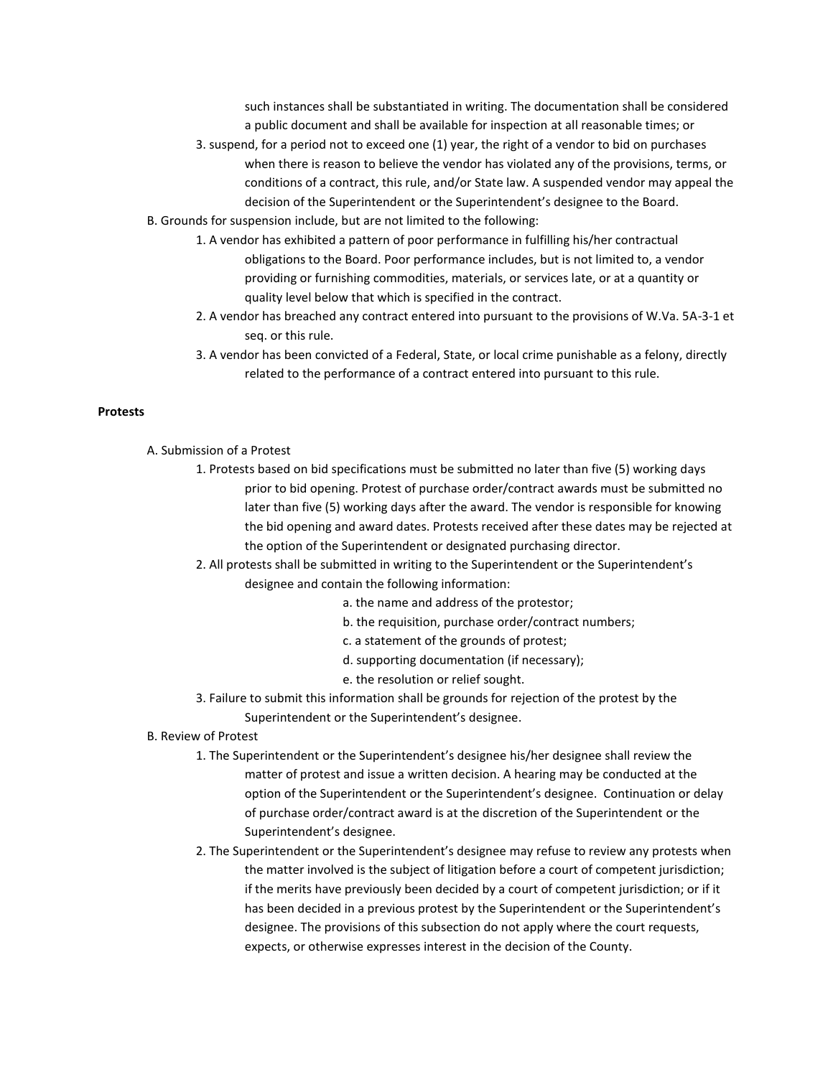such instances shall be substantiated in writing. The documentation shall be considered a public document and shall be available for inspection at all reasonable times; or

- 3. suspend, for a period not to exceed one (1) year, the right of a vendor to bid on purchases when there is reason to believe the vendor has violated any of the provisions, terms, or conditions of a contract, this rule, and/or State law. A suspended vendor may appeal the decision of the Superintendent or the Superintendent's designee to the Board.
- B. Grounds for suspension include, but are not limited to the following:
	- 1. A vendor has exhibited a pattern of poor performance in fulfilling his/her contractual obligations to the Board. Poor performance includes, but is not limited to, a vendor providing or furnishing commodities, materials, or services late, or at a quantity or quality level below that which is specified in the contract.
	- 2. A vendor has breached any contract entered into pursuant to the provisions of W.Va. 5A-3-1 et seq. or this rule.
	- 3. A vendor has been convicted of a Federal, State, or local crime punishable as a felony, directly related to the performance of a contract entered into pursuant to this rule.

#### **Protests**

- A. Submission of a Protest
	- 1. Protests based on bid specifications must be submitted no later than five (5) working days prior to bid opening. Protest of purchase order/contract awards must be submitted no later than five (5) working days after the award. The vendor is responsible for knowing the bid opening and award dates. Protests received after these dates may be rejected at the option of the Superintendent or designated purchasing director.
	- 2. All protests shall be submitted in writing to the Superintendent or the Superintendent's designee and contain the following information:
		- a. the name and address of the protestor;
		- b. the requisition, purchase order/contract numbers;
		- c. a statement of the grounds of protest;
		- d. supporting documentation (if necessary);
		- e. the resolution or relief sought.
	- 3. Failure to submit this information shall be grounds for rejection of the protest by the Superintendent or the Superintendent's designee.
- B. Review of Protest
	- 1. The Superintendent or the Superintendent's designee his/her designee shall review the matter of protest and issue a written decision. A hearing may be conducted at the option of the Superintendent or the Superintendent's designee. Continuation or delay of purchase order/contract award is at the discretion of the Superintendent or the Superintendent's designee.
	- 2. The Superintendent or the Superintendent's designee may refuse to review any protests when the matter involved is the subject of litigation before a court of competent jurisdiction; if the merits have previously been decided by a court of competent jurisdiction; or if it has been decided in a previous protest by the Superintendent or the Superintendent's designee. The provisions of this subsection do not apply where the court requests, expects, or otherwise expresses interest in the decision of the County.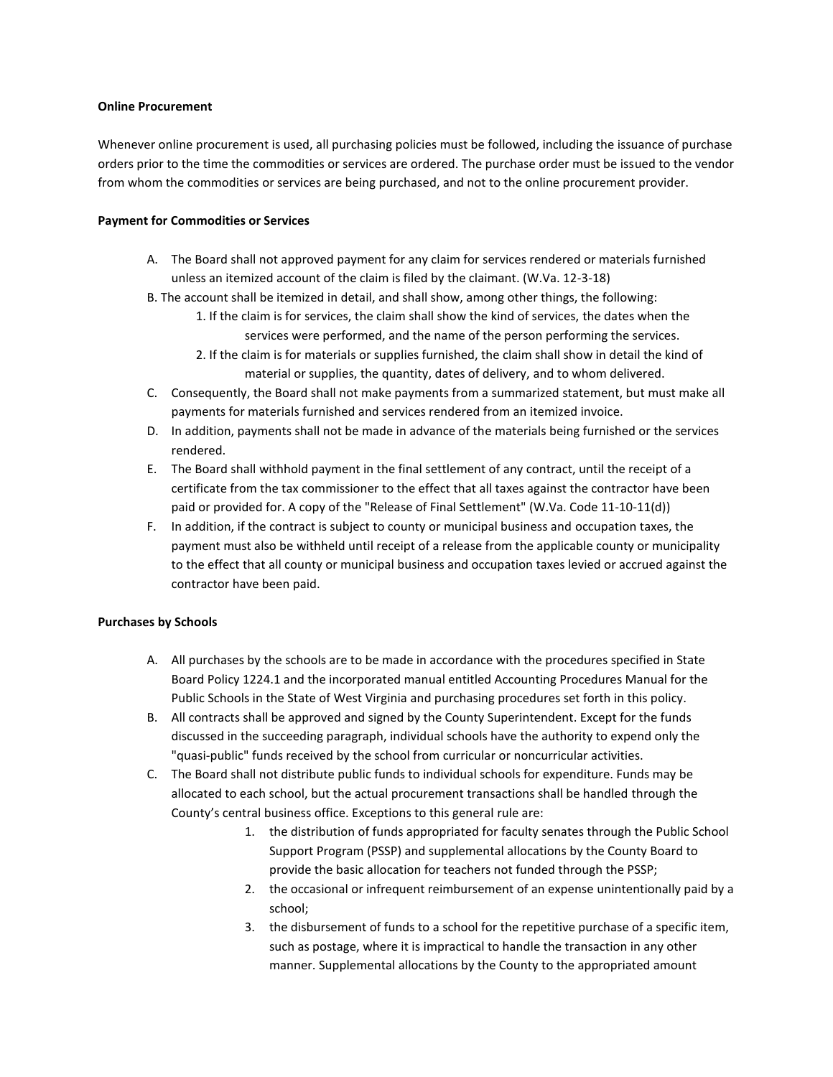### **Online Procurement**

Whenever online procurement is used, all purchasing policies must be followed, including the issuance of purchase orders prior to the time the commodities or services are ordered. The purchase order must be issued to the vendor from whom the commodities or services are being purchased, and not to the online procurement provider.

## **Payment for Commodities or Services**

- A. The Board shall not approved payment for any claim for services rendered or materials furnished unless an itemized account of the claim is filed by the claimant. (W.Va. 12-3-18)
- B. The account shall be itemized in detail, and shall show, among other things, the following:
	- 1. If the claim is for services, the claim shall show the kind of services, the dates when the services were performed, and the name of the person performing the services.
	- 2. If the claim is for materials or supplies furnished, the claim shall show in detail the kind of material or supplies, the quantity, dates of delivery, and to whom delivered.
- C. Consequently, the Board shall not make payments from a summarized statement, but must make all payments for materials furnished and services rendered from an itemized invoice.
- D. In addition, payments shall not be made in advance of the materials being furnished or the services rendered.
- E. The Board shall withhold payment in the final settlement of any contract, until the receipt of a certificate from the tax commissioner to the effect that all taxes against the contractor have been paid or provided for. A copy of the "Release of Final Settlement" (W.Va. Code 11-10-11(d))
- F. In addition, if the contract is subject to county or municipal business and occupation taxes, the payment must also be withheld until receipt of a release from the applicable county or municipality to the effect that all county or municipal business and occupation taxes levied or accrued against the contractor have been paid.

## **Purchases by Schools**

- A. All purchases by the schools are to be made in accordance with the procedures specified in State Board Policy 1224.1 and the incorporated manual entitled Accounting Procedures Manual for the Public Schools in the State of West Virginia and purchasing procedures set forth in this policy.
- B. All contracts shall be approved and signed by the County Superintendent. Except for the funds discussed in the succeeding paragraph, individual schools have the authority to expend only the "quasi-public" funds received by the school from curricular or noncurricular activities.
- C. The Board shall not distribute public funds to individual schools for expenditure. Funds may be allocated to each school, but the actual procurement transactions shall be handled through the County's central business office. Exceptions to this general rule are:
	- 1. the distribution of funds appropriated for faculty senates through the Public School Support Program (PSSP) and supplemental allocations by the County Board to provide the basic allocation for teachers not funded through the PSSP;
	- 2. the occasional or infrequent reimbursement of an expense unintentionally paid by a school;
	- 3. the disbursement of funds to a school for the repetitive purchase of a specific item, such as postage, where it is impractical to handle the transaction in any other manner. Supplemental allocations by the County to the appropriated amount